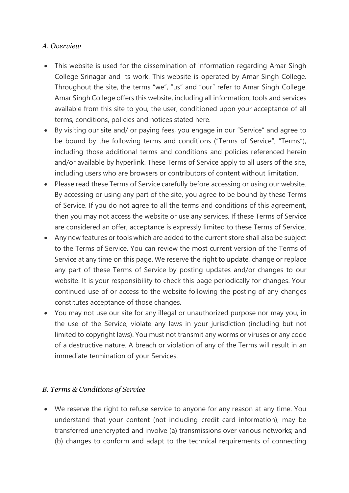## *A. Overview*

- This website is used for the dissemination of information regarding Amar Singh College Srinagar and its work. This website is operated by Amar Singh College. Throughout the site, the terms "we", "us" and "our" refer to Amar Singh College. Amar Singh College offers this website, including all information, tools and services available from this site to you, the user, conditioned upon your acceptance of all terms, conditions, policies and notices stated here.
- By visiting our site and/ or paying fees, you engage in our "Service" and agree to be bound by the following terms and conditions ("Terms of Service", "Terms"), including those additional terms and conditions and policies referenced herein and/or available by hyperlink. These Terms of Service apply to all users of the site, including users who are browsers or contributors of content without limitation.
- Please read these Terms of Service carefully before accessing or using our website. By accessing or using any part of the site, you agree to be bound by these Terms of Service. If you do not agree to all the terms and conditions of this agreement, then you may not access the website or use any services. If these Terms of Service are considered an offer, acceptance is expressly limited to these Terms of Service.
- Any new features or tools which are added to the current store shall also be subject to the Terms of Service. You can review the most current version of the Terms of Service at any time on this page. We reserve the right to update, change or replace any part of these Terms of Service by posting updates and/or changes to our website. It is your responsibility to check this page periodically for changes. Your continued use of or access to the website following the posting of any changes constitutes acceptance of those changes.
- You may not use our site for any illegal or unauthorized purpose nor may you, in the use of the Service, violate any laws in your jurisdiction (including but not limited to copyright laws). You must not transmit any worms or viruses or any code of a destructive nature. A breach or violation of any of the Terms will result in an immediate termination of your Services.

## *B. Terms & Conditions of Service*

• We reserve the right to refuse service to anyone for any reason at any time. You understand that your content (not including credit card information), may be transferred unencrypted and involve (a) transmissions over various networks; and (b) changes to conform and adapt to the technical requirements of connecting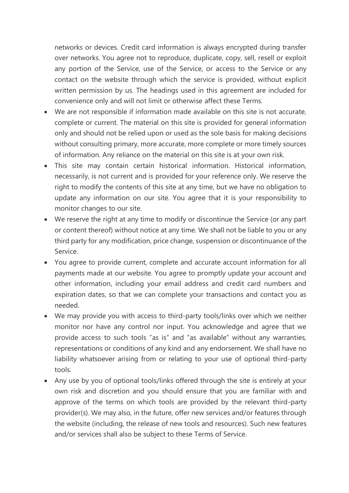networks or devices. Credit card information is always encrypted during transfer over networks. You agree not to reproduce, duplicate, copy, sell, resell or exploit any portion of the Service, use of the Service, or access to the Service or any contact on the website through which the service is provided, without explicit written permission by us. The headings used in this agreement are included for convenience only and will not limit or otherwise affect these Terms.

- We are not responsible if information made available on this site is not accurate, complete or current. The material on this site is provided for general information only and should not be relied upon or used as the sole basis for making decisions without consulting primary, more accurate, more complete or more timely sources of information. Any reliance on the material on this site is at your own risk.
- This site may contain certain historical information. Historical information, necessarily, is not current and is provided for your reference only. We reserve the right to modify the contents of this site at any time, but we have no obligation to update any information on our site. You agree that it is your responsibility to monitor changes to our site.
- We reserve the right at any time to modify or discontinue the Service (or any part or content thereof) without notice at any time. We shall not be liable to you or any third party for any modification, price change, suspension or discontinuance of the Service.
- You agree to provide current, complete and accurate account information for all payments made at our website. You agree to promptly update your account and other information, including your email address and credit card numbers and expiration dates, so that we can complete your transactions and contact you as needed.
- We may provide you with access to third-party tools/links over which we neither monitor nor have any control nor input. You acknowledge and agree that we provide access to such tools "as is" and "as available" without any warranties, representations or conditions of any kind and any endorsement. We shall have no liability whatsoever arising from or relating to your use of optional third-party tools.
- Any use by you of optional tools/links offered through the site is entirely at your own risk and discretion and you should ensure that you are familiar with and approve of the terms on which tools are provided by the relevant third-party provider(s). We may also, in the future, offer new services and/or features through the website (including, the release of new tools and resources). Such new features and/or services shall also be subject to these Terms of Service.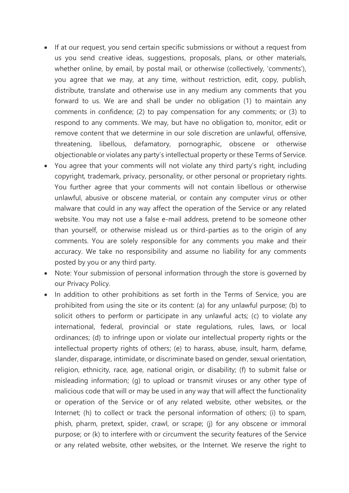- If at our request, you send certain specific submissions or without a request from us you send creative ideas, suggestions, proposals, plans, or other materials, whether online, by email, by postal mail, or otherwise (collectively, 'comments'), you agree that we may, at any time, without restriction, edit, copy, publish, distribute, translate and otherwise use in any medium any comments that you forward to us. We are and shall be under no obligation (1) to maintain any comments in confidence; (2) to pay compensation for any comments; or (3) to respond to any comments. We may, but have no obligation to, monitor, edit or remove content that we determine in our sole discretion are unlawful, offensive, threatening, libellous, defamatory, pornographic, obscene or otherwise objectionable or violates any party's intellectual property or these Terms of Service.
- You agree that your comments will not violate any third party's right, including copyright, trademark, privacy, personality, or other personal or proprietary rights. You further agree that your comments will not contain libellous or otherwise unlawful, abusive or obscene material, or contain any computer virus or other malware that could in any way affect the operation of the Service or any related website. You may not use a false e-mail address, pretend to be someone other than yourself, or otherwise mislead us or third-parties as to the origin of any comments. You are solely responsible for any comments you make and their accuracy. We take no responsibility and assume no liability for any comments posted by you or any third party.
- Note: Your submission of personal information through the store is governed by our Privacy Policy.
- In addition to other prohibitions as set forth in the Terms of Service, you are prohibited from using the site or its content: (a) for any unlawful purpose; (b) to solicit others to perform or participate in any unlawful acts; (c) to violate any international, federal, provincial or state regulations, rules, laws, or local ordinances; (d) to infringe upon or violate our intellectual property rights or the intellectual property rights of others; (e) to harass, abuse, insult, harm, defame, slander, disparage, intimidate, or discriminate based on gender, sexual orientation, religion, ethnicity, race, age, national origin, or disability; (f) to submit false or misleading information; (g) to upload or transmit viruses or any other type of malicious code that will or may be used in any way that will affect the functionality or operation of the Service or of any related website, other websites, or the Internet; (h) to collect or track the personal information of others; (i) to spam, phish, pharm, pretext, spider, crawl, or scrape; (j) for any obscene or immoral purpose; or (k) to interfere with or circumvent the security features of the Service or any related website, other websites, or the Internet. We reserve the right to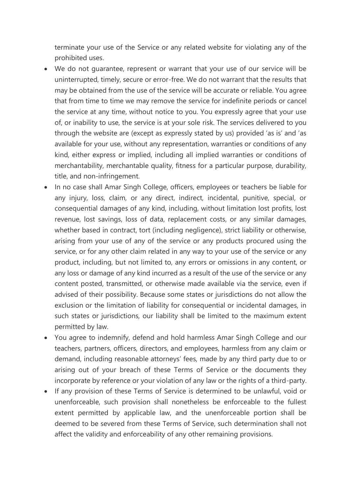terminate your use of the Service or any related website for violating any of the prohibited uses.

- We do not guarantee, represent or warrant that your use of our service will be uninterrupted, timely, secure or error-free. We do not warrant that the results that may be obtained from the use of the service will be accurate or reliable. You agree that from time to time we may remove the service for indefinite periods or cancel the service at any time, without notice to you. You expressly agree that your use of, or inability to use, the service is at your sole risk. The services delivered to you through the website are (except as expressly stated by us) provided 'as is' and 'as available for your use, without any representation, warranties or conditions of any kind, either express or implied, including all implied warranties or conditions of merchantability, merchantable quality, fitness for a particular purpose, durability, title, and non-infringement.
- In no case shall Amar Singh College, officers, employees or teachers be liable for any injury, loss, claim, or any direct, indirect, incidental, punitive, special, or consequential damages of any kind, including, without limitation lost profits, lost revenue, lost savings, loss of data, replacement costs, or any similar damages, whether based in contract, tort (including negligence), strict liability or otherwise, arising from your use of any of the service or any products procured using the service, or for any other claim related in any way to your use of the service or any product, including, but not limited to, any errors or omissions in any content, or any loss or damage of any kind incurred as a result of the use of the service or any content posted, transmitted, or otherwise made available via the service, even if advised of their possibility. Because some states or jurisdictions do not allow the exclusion or the limitation of liability for consequential or incidental damages, in such states or jurisdictions, our liability shall be limited to the maximum extent permitted by law.
- You agree to indemnify, defend and hold harmless Amar Singh College and our teachers, partners, officers, directors, and employees, harmless from any claim or demand, including reasonable attorneys' fees, made by any third party due to or arising out of your breach of these Terms of Service or the documents they incorporate by reference or your violation of any law or the rights of a third-party.
- If any provision of these Terms of Service is determined to be unlawful, void or unenforceable, such provision shall nonetheless be enforceable to the fullest extent permitted by applicable law, and the unenforceable portion shall be deemed to be severed from these Terms of Service, such determination shall not affect the validity and enforceability of any other remaining provisions.